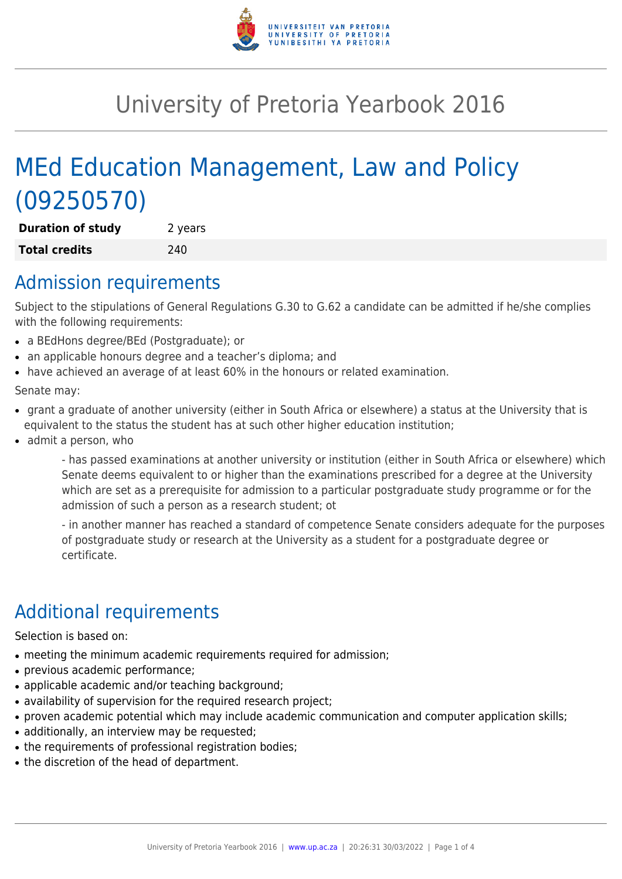

# University of Pretoria Yearbook 2016

# MEd Education Management, Law and Policy (09250570)

**Duration of study** 2 years **Total credits** 240

### Admission requirements

Subject to the stipulations of General Regulations G.30 to G.62 a candidate can be admitted if he/she complies with the following requirements:

- a BEdHons degree/BEd (Postgraduate); or
- an applicable honours degree and a teacher's diploma; and
- have achieved an average of at least 60% in the honours or related examination.

Senate may:

- grant a graduate of another university (either in South Africa or elsewhere) a status at the University that is equivalent to the status the student has at such other higher education institution;
- admit a person, who

- has passed examinations at another university or institution (either in South Africa or elsewhere) which Senate deems equivalent to or higher than the examinations prescribed for a degree at the University which are set as a prerequisite for admission to a particular postgraduate study programme or for the admission of such a person as a research student; ot

- in another manner has reached a standard of competence Senate considers adequate for the purposes of postgraduate study or research at the University as a student for a postgraduate degree or certificate.

## Additional requirements

Selection is based on:

- meeting the minimum academic requirements required for admission;
- previous academic performance;
- applicable academic and/or teaching background;
- availability of supervision for the required research project;
- proven academic potential which may include academic communication and computer application skills;
- additionally, an interview may be requested;
- the requirements of professional registration bodies;
- the discretion of the head of department.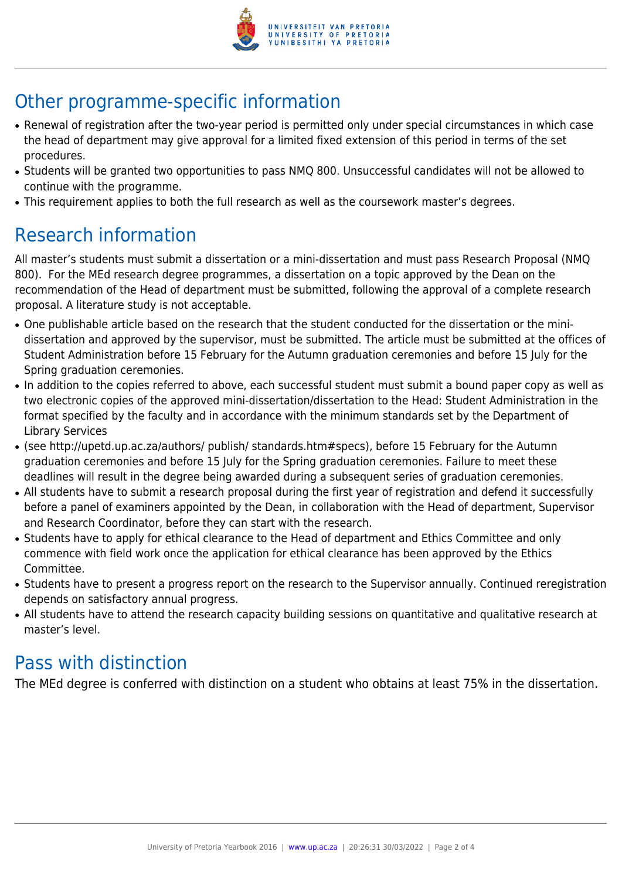

## Other programme-specific information

- Renewal of registration after the two-year period is permitted only under special circumstances in which case the head of department may give approval for a limited fixed extension of this period in terms of the set procedures.
- Students will be granted two opportunities to pass NMQ 800. Unsuccessful candidates will not be allowed to continue with the programme.
- This requirement applies to both the full research as well as the coursework master's degrees.

### Research information

All master's students must submit a dissertation or a mini-dissertation and must pass Research Proposal (NMQ 800). For the MEd research degree programmes, a dissertation on a topic approved by the Dean on the recommendation of the Head of department must be submitted, following the approval of a complete research proposal. A literature study is not acceptable.

- One publishable article based on the research that the student conducted for the dissertation or the minidissertation and approved by the supervisor, must be submitted. The article must be submitted at the offices of Student Administration before 15 February for the Autumn graduation ceremonies and before 15 July for the Spring graduation ceremonies.
- In addition to the copies referred to above, each successful student must submit a bound paper copy as well as two electronic copies of the approved mini-dissertation/dissertation to the Head: Student Administration in the format specified by the faculty and in accordance with the minimum standards set by the Department of Library Services
- (see http://upetd.up.ac.za/authors/ publish/ standards.htm#specs), before 15 February for the Autumn graduation ceremonies and before 15 July for the Spring graduation ceremonies. Failure to meet these deadlines will result in the degree being awarded during a subsequent series of graduation ceremonies.
- All students have to submit a research proposal during the first year of registration and defend it successfully before a panel of examiners appointed by the Dean, in collaboration with the Head of department, Supervisor and Research Coordinator, before they can start with the research.
- Students have to apply for ethical clearance to the Head of department and Ethics Committee and only commence with field work once the application for ethical clearance has been approved by the Ethics Committee.
- Students have to present a progress report on the research to the Supervisor annually. Continued reregistration depends on satisfactory annual progress.
- All students have to attend the research capacity building sessions on quantitative and qualitative research at master's level.

#### Pass with distinction

The MEd degree is conferred with distinction on a student who obtains at least 75% in the dissertation.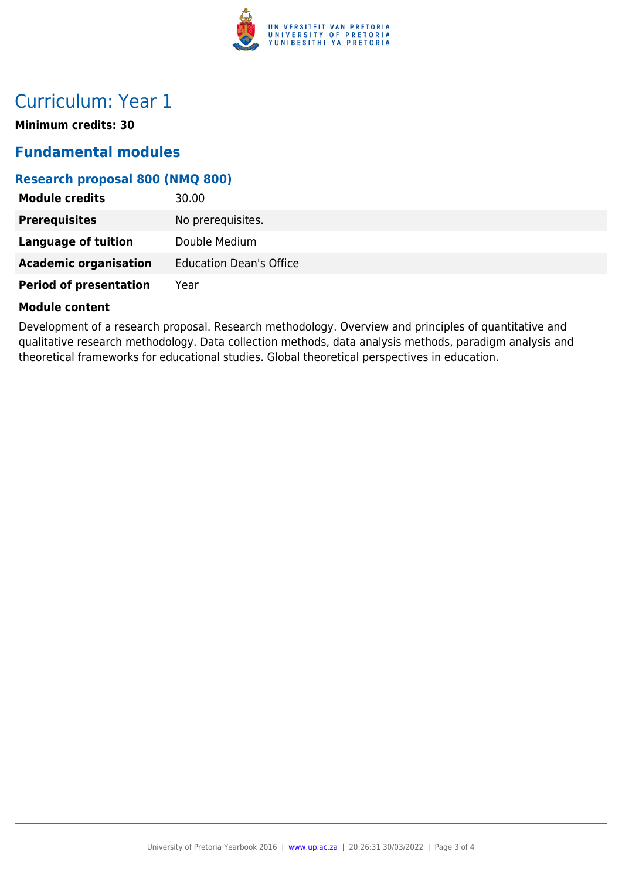

### Curriculum: Year 1

**Minimum credits: 30**

#### **Fundamental modules**

#### **Research proposal 800 (NMQ 800)**

| <b>Module credits</b>         | 30.00                          |
|-------------------------------|--------------------------------|
| <b>Prerequisites</b>          | No prerequisites.              |
| Language of tuition           | Double Medium                  |
| <b>Academic organisation</b>  | <b>Education Dean's Office</b> |
| <b>Period of presentation</b> | Year                           |

#### **Module content**

Development of a research proposal. Research methodology. Overview and principles of quantitative and qualitative research methodology. Data collection methods, data analysis methods, paradigm analysis and theoretical frameworks for educational studies. Global theoretical perspectives in education.